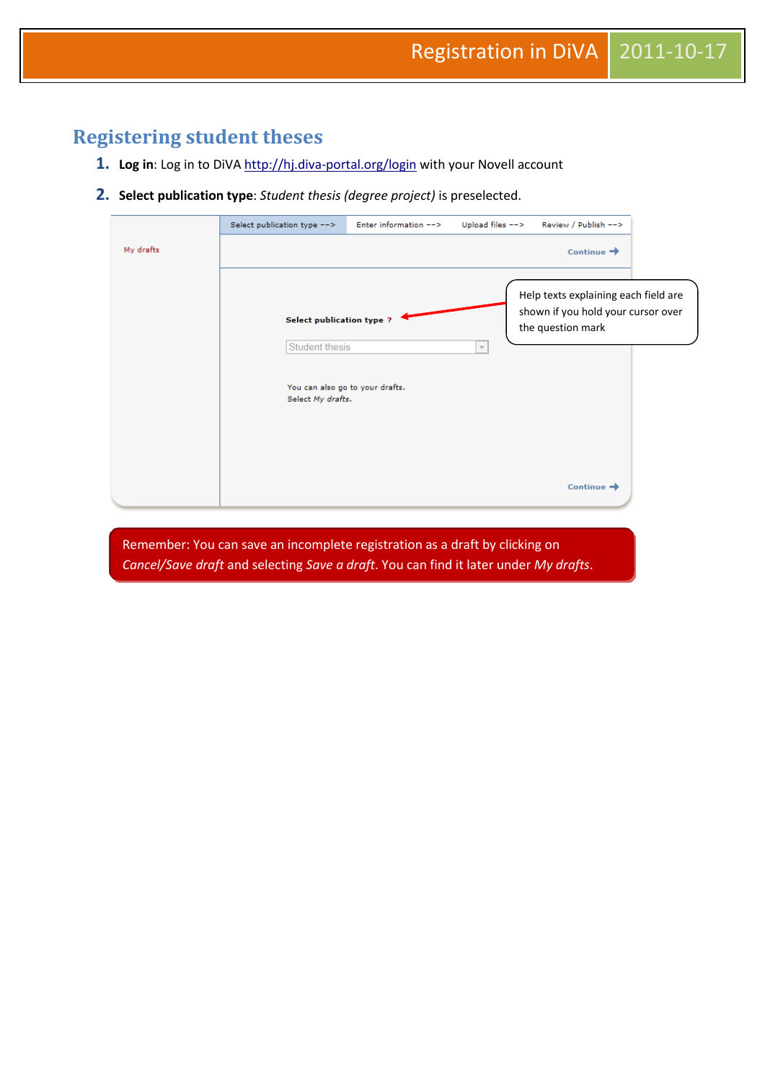# **Registering student theses**

- 1. Log in: Log in to DiVA<http://hj.diva-portal.org/login> with your Novell account
- **2. Select publication type**: *Student thesis (degree project)* is preselected.

|           | Select publication type -->                                      | Enter information -->           |                     | Upload files --> Review / Publish -->                                                           |  |
|-----------|------------------------------------------------------------------|---------------------------------|---------------------|-------------------------------------------------------------------------------------------------|--|
| My drafts |                                                                  |                                 |                     | Continue $\rightarrow$                                                                          |  |
|           | Select publication type ?<br>Student thesis<br>Select My drafts. | You can also go to your drafts. | $\overline{\nabla}$ | Help texts explaining each field are<br>shown if you hold your cursor over<br>the question mark |  |
|           |                                                                  |                                 |                     | Continue $\rightarrow$                                                                          |  |
|           |                                                                  |                                 |                     |                                                                                                 |  |

Remember: You can save an incomplete registration as a draft by clicking on *Cancel/Save draft* and selecting *Save a draft*. You can find it later under *My drafts*.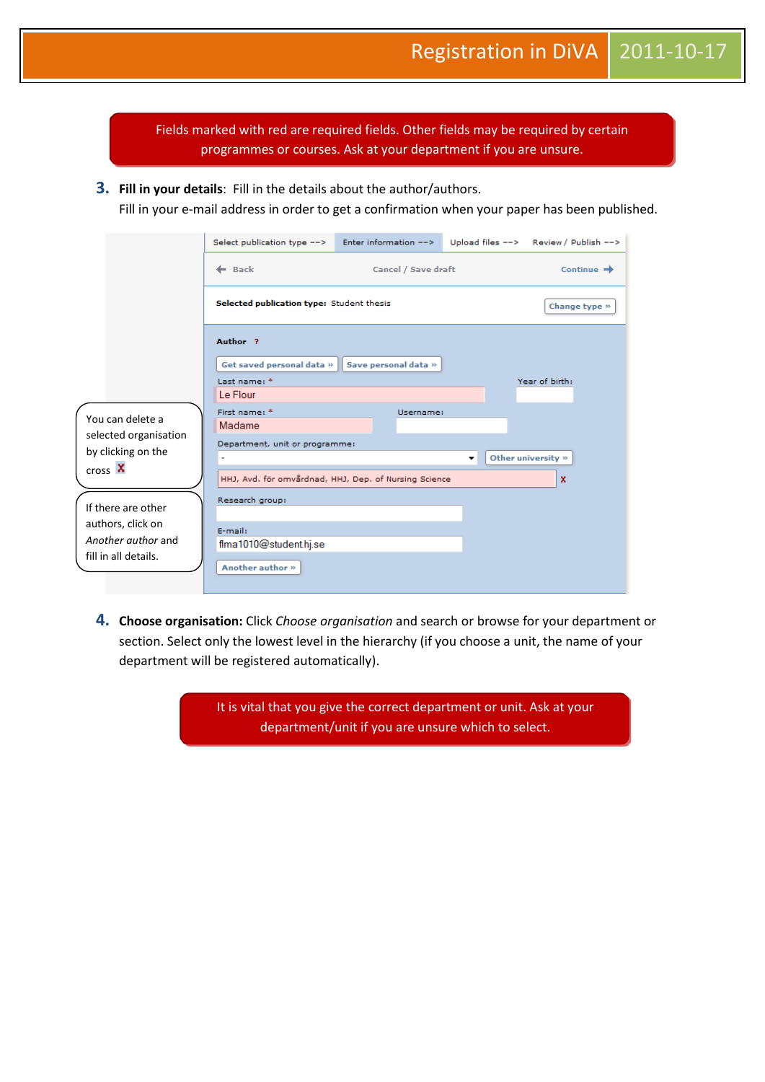Fields marked with red are required fields. Other fields may be required by certain programmes or courses. Ask at your department if you are unsure.

**3. Fill in your details**: Fill in the details about the author/authors.

Fill in your e-mail address in order to get a confirmation when your paper has been published.

|                                             | Select publication type -->                           | Enter information --> |                          | Upload files --> Review / Publish --> |
|---------------------------------------------|-------------------------------------------------------|-----------------------|--------------------------|---------------------------------------|
|                                             | $\leftarrow$ Back                                     | Cancel / Save draft   |                          | Continue $\rightarrow$                |
|                                             | Selected publication type: Student thesis             |                       |                          | Change type »                         |
|                                             | Author <sub>2</sub>                                   |                       |                          |                                       |
|                                             | Get saved personal data »                             | Save personal data »  |                          |                                       |
|                                             | Last name: *<br>Le Flour                              |                       |                          | Year of birth:                        |
| You can delete a                            | First name: *<br>Madame                               | Username:             |                          |                                       |
| selected organisation<br>by clicking on the | Department, unit or programme:                        |                       |                          |                                       |
| $\cos X$                                    |                                                       |                       | $\overline{\phantom{a}}$ | Other university »                    |
|                                             | HHJ, Avd. för omvårdnad, HHJ, Dep. of Nursing Science |                       |                          | x                                     |
| If there are other                          | Research group:                                       |                       |                          |                                       |
| authors, click on                           | E-mail:                                               |                       |                          |                                       |
| Another author and                          | flma1010@student.hj.se                                |                       |                          |                                       |
| fill in all details.                        | Another author »                                      |                       |                          |                                       |
|                                             |                                                       |                       |                          |                                       |

**4. Choose organisation:** Click *Choose organisation* and search or browse for your department or section. Select only the lowest level in the hierarchy (if you choose a unit, the name of your department will be registered automatically).

> It is vital that you give the correct department or unit. Ask at your department/unit if you are unsure which to select.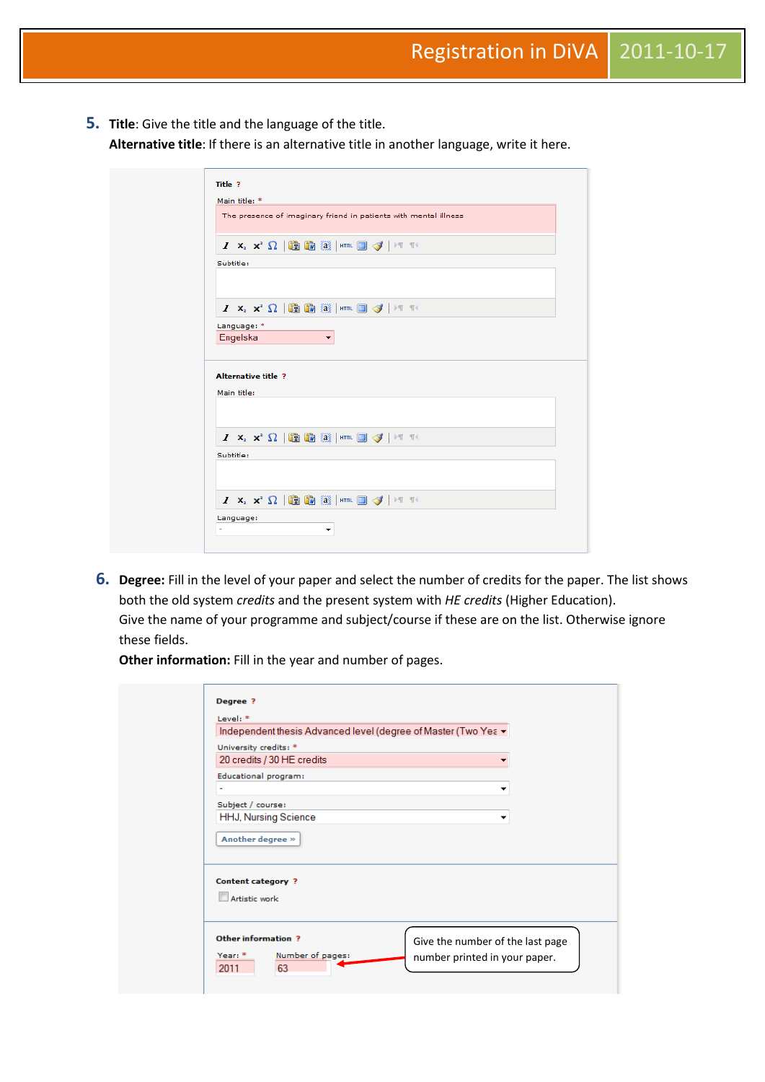**5. Title**: Give the title and the language of the title. **Alternative title**: If there is an alternative title in another language, write it here.

|                                           |             |  |  |  | The presence of imaginary friend in patients with mental illness                                                                                                  |  |  |  |  |
|-------------------------------------------|-------------|--|--|--|-------------------------------------------------------------------------------------------------------------------------------------------------------------------|--|--|--|--|
|                                           |             |  |  |  | $I$ $\mathsf{x}$ , $\mathsf{x}$ $^2$ $\Omega$ $ \mathsf{thm} $ $\mathsf{thm} $ $\mathsf{H}$ $\mathsf{H}$ $\mathsf{H}$ $\mathsf{H}$                                |  |  |  |  |
| Subtitle:                                 |             |  |  |  |                                                                                                                                                                   |  |  |  |  |
|                                           |             |  |  |  |                                                                                                                                                                   |  |  |  |  |
|                                           |             |  |  |  |                                                                                                                                                                   |  |  |  |  |
|                                           |             |  |  |  | $I$ $\mathsf{x}_i$ $\mathsf{x}^i$ $\Omega$   $\mathsf{m}$ $\mathsf{m}$ $\mathsf{m}$ $\mathsf{m}$ $\mathsf{m}$ $\mathsf{m}$ $\mathsf{m}$ $\mathsf{m}$ $\mathsf{m}$ |  |  |  |  |
|                                           | Language: * |  |  |  |                                                                                                                                                                   |  |  |  |  |
|                                           |             |  |  |  |                                                                                                                                                                   |  |  |  |  |
| Engelska                                  |             |  |  |  |                                                                                                                                                                   |  |  |  |  |
|                                           |             |  |  |  |                                                                                                                                                                   |  |  |  |  |
| <b>Alternative title ?</b><br>Main title: |             |  |  |  |                                                                                                                                                                   |  |  |  |  |
|                                           |             |  |  |  |                                                                                                                                                                   |  |  |  |  |
|                                           |             |  |  |  | $I$ $\mathsf{x}_i$ $\mathsf{x}^i$ $\Omega$ $ \mathsf{m}\mathsf{m} $ $\mathsf{m}\mathsf{m}$ $\mathsf{m}\mathsf{m}$ $\mathcal{J}$ $ \mathsf{m}\mathsf{m} $          |  |  |  |  |
| Subtitle:                                 |             |  |  |  |                                                                                                                                                                   |  |  |  |  |
|                                           |             |  |  |  |                                                                                                                                                                   |  |  |  |  |

**6. Degree:** Fill in the level of your paper and select the number of credits for the paper. The list shows both the old system *credits* and the present system with *HE credits* (Higher Education). Give the name of your programme and subject/course if these are on the list. Otherwise ignore these fields.

**Other information:** Fill in the year and number of pages.

| Degree ?<br>Level: *                                | Independent thesis Advanced level (degree of Master (Two Yea ▼ |
|-----------------------------------------------------|----------------------------------------------------------------|
| University credits: *<br>20 credits / 30 HE credits |                                                                |
| Educational program:<br>٠                           | ▼                                                              |
| Subject / course:<br><b>HHJ, Nursing Science</b>    | ▼                                                              |
| Another degree »                                    |                                                                |
| <b>Content category?</b>                            |                                                                |
| Artistic work                                       |                                                                |
| Other information ?                                 | Give the number of the last page                               |
| Number of pages:<br>Year: *<br>63<br>2011           | number printed in your paper.                                  |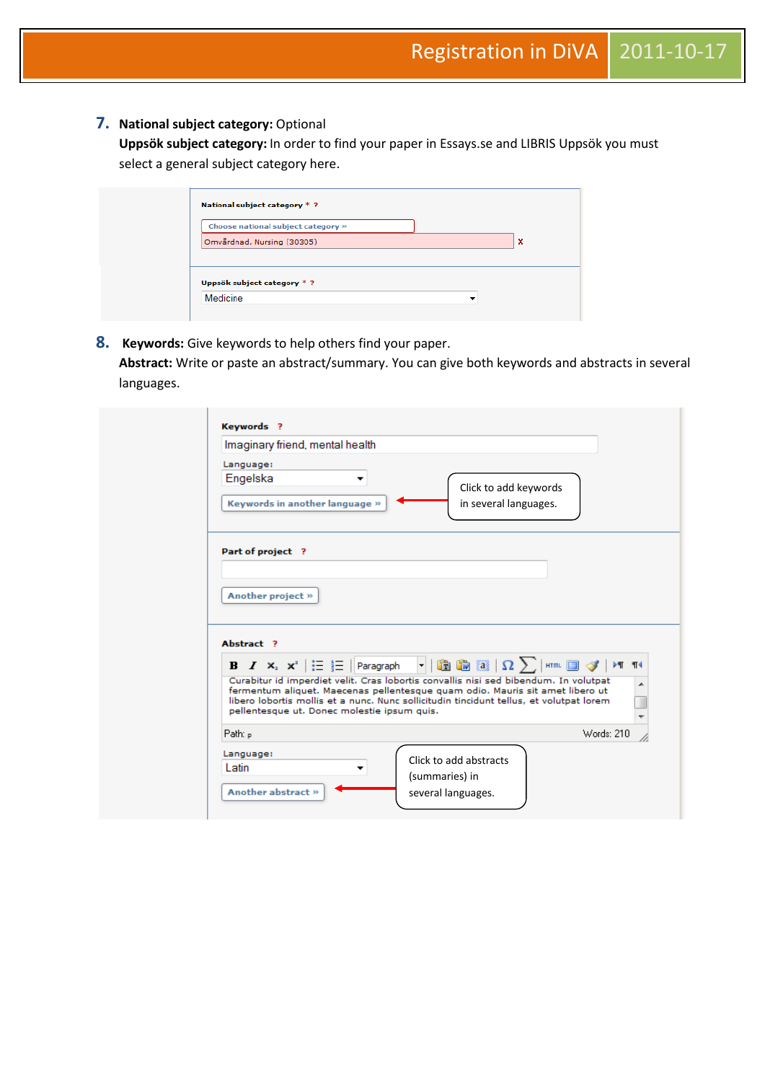### **7. National subject category:** Optional

**Uppsök subject category:** In order to find your paper in Essays.se and LIBRIS Uppsök you must select a general subject category here.

| Choose national subject category » |  |   |
|------------------------------------|--|---|
| Omvårdnad, Nursing (30305)         |  | × |
|                                    |  |   |
|                                    |  |   |

#### **8. Keywords:** Give keywords to help others find your paper.

**Abstract:** Write or paste an abstract/summary. You can give both keywords and abstracts in several languages.

| Imaginary friend, mental health             |                                                                                                                                                                                                                                                                                                                                                                                                                                                                                                                                                                                                     |
|---------------------------------------------|-----------------------------------------------------------------------------------------------------------------------------------------------------------------------------------------------------------------------------------------------------------------------------------------------------------------------------------------------------------------------------------------------------------------------------------------------------------------------------------------------------------------------------------------------------------------------------------------------------|
| Language:<br>Engelska<br>▼                  | Click to add keywords                                                                                                                                                                                                                                                                                                                                                                                                                                                                                                                                                                               |
| Keywords in another language »              | in several languages.                                                                                                                                                                                                                                                                                                                                                                                                                                                                                                                                                                               |
| Part of project ?                           |                                                                                                                                                                                                                                                                                                                                                                                                                                                                                                                                                                                                     |
|                                             |                                                                                                                                                                                                                                                                                                                                                                                                                                                                                                                                                                                                     |
| Another project »                           |                                                                                                                                                                                                                                                                                                                                                                                                                                                                                                                                                                                                     |
|                                             |                                                                                                                                                                                                                                                                                                                                                                                                                                                                                                                                                                                                     |
|                                             |                                                                                                                                                                                                                                                                                                                                                                                                                                                                                                                                                                                                     |
| Abstract ?                                  |                                                                                                                                                                                                                                                                                                                                                                                                                                                                                                                                                                                                     |
|                                             | B $I$ $\mathsf{x}_i$ $\mathsf{x}^i$ $ \mathrel{\mathop:}=$ $ \mathrel{\mathop:}$ Paragraph $ \mathrel{\mathop:} \mathrel{\mathop:}^{\mathrel{\mathop:}} $ . $ \mathrel{\mathop:}^{\mathrel{\mathop{\mathop{\mathop{\scriptstyle\mathop{\scriptstyle\mathop{\scriptstyle\mathop{\scriptstyle\mathop{\scriptstyle\mathop{\scriptstyle\mathop{\scriptstyle\mathop{\scriptstyle\mathop{\scriptstyle\mathop{\scriptstyle\mathop{\scriptstyle\mathop{\scriptstyle\mathop{\scriptstyle\mathop{\scriptstyle\mathop{\scriptstyle\mathop{\scriptstyle\mathop{\scriptstyle\mathop{\scriptstyle\mathop{\script$ |
|                                             | Curabitur id imperdiet velit. Cras lobortis convallis nisi sed bibendum. In volutpat                                                                                                                                                                                                                                                                                                                                                                                                                                                                                                                |
| pellentesque ut. Donec molestie ipsum quis. | fermentum aliquet. Maecenas pellentesque quam odio. Mauris sit amet libero ut<br>libero lobortis mollis et a nunc. Nunc sollicitudin tincidunt tellus, et volutpat lorem                                                                                                                                                                                                                                                                                                                                                                                                                            |
|                                             |                                                                                                                                                                                                                                                                                                                                                                                                                                                                                                                                                                                                     |
| Path: p                                     | Words: 210                                                                                                                                                                                                                                                                                                                                                                                                                                                                                                                                                                                          |
| Language:<br>Latin                          | Click to add abstracts                                                                                                                                                                                                                                                                                                                                                                                                                                                                                                                                                                              |
| Another abstract »                          | (summaries) in                                                                                                                                                                                                                                                                                                                                                                                                                                                                                                                                                                                      |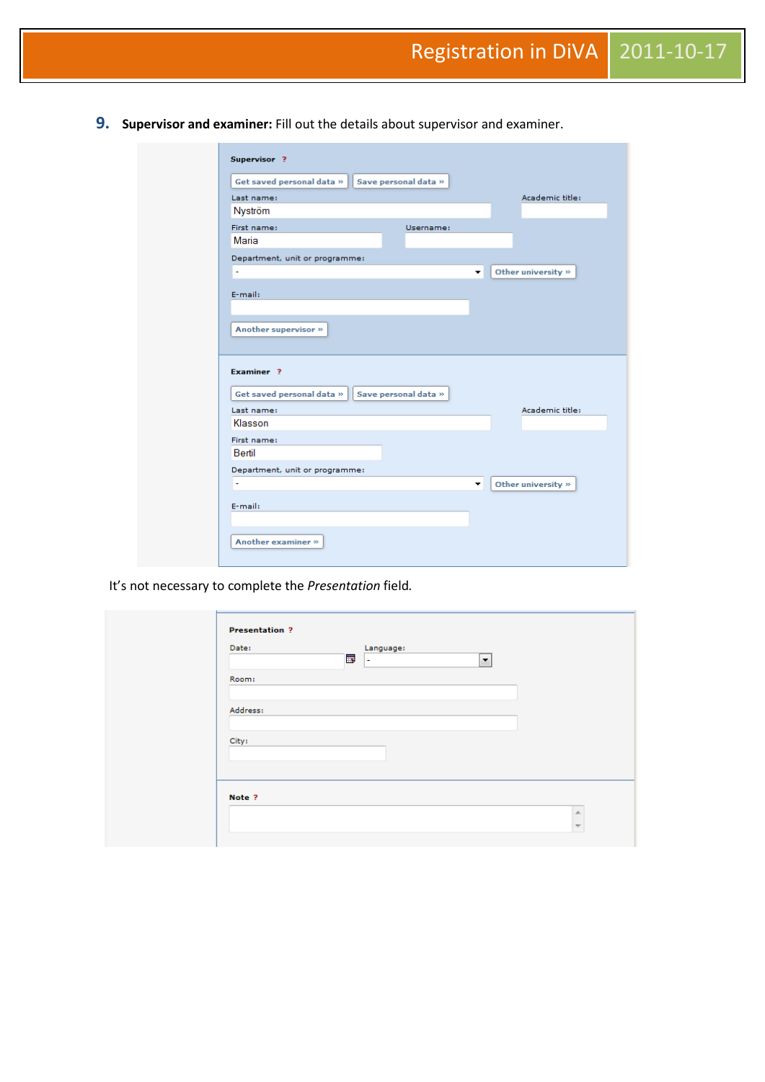**9. Supervisor and examiner:** Fill out the details about supervisor and examiner.

| Get saved personal data »                          | Save personal data »    |
|----------------------------------------------------|-------------------------|
| Last name:                                         | Academic title:         |
| Nyström                                            |                         |
| First name:                                        | Username:               |
| Maria                                              |                         |
| Department, unit or programme:                     |                         |
| $\tilde{\phantom{a}}$                              | Other university »<br>۰ |
| E-mail:                                            |                         |
|                                                    |                         |
|                                                    |                         |
|                                                    |                         |
| Another supervisor »                               |                         |
|                                                    |                         |
| Examiner <sub>2</sub><br>Get saved personal data » | Save personal data »    |
| Last name:                                         | Academic title:         |
| Klasson                                            |                         |
|                                                    |                         |
| First name:<br>Bertil                              |                         |
| Department, unit or programme:                     |                         |
| ä,                                                 | Other university »<br>▼ |
| E-mail:                                            |                         |
|                                                    |                         |

It's not necessary to complete the *Presentation* field*.*

| Date:    | $\overline{\mathbf{a}}$ | Language:<br>$\overline{ }$ | $\blacktriangledown$ |
|----------|-------------------------|-----------------------------|----------------------|
| Room:    |                         |                             |                      |
| Address: |                         |                             |                      |
|          |                         |                             |                      |
| City:    |                         |                             |                      |
|          |                         |                             |                      |
|          |                         |                             |                      |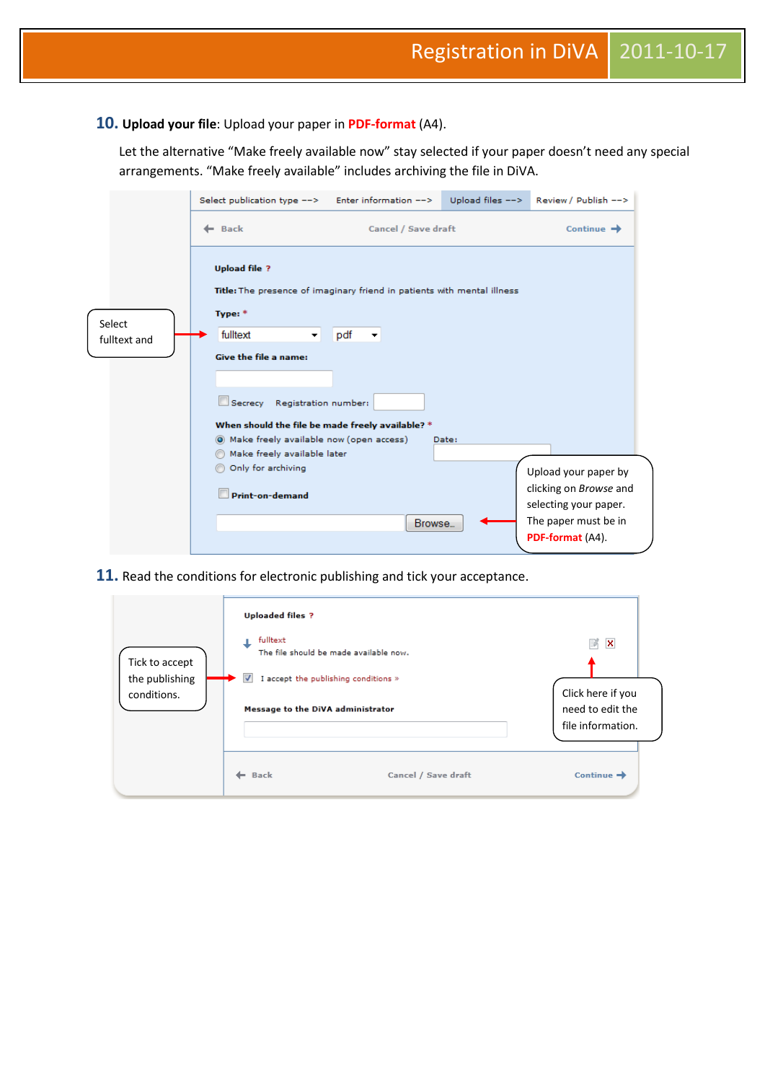#### **10. Upload your file**: Upload your paper in **PDF-format** (A4).

Let the alternative "Make freely available now" stay selected if your paper doesn't need any special arrangements. "Make freely available" includes archiving the file in DiVA.

|                        | Select publication type --> Enter information -->                                                                                                                                                                                                                                              |                                                                                                                   |       | Upload files --> Review / Publish -->                                                                                             |
|------------------------|------------------------------------------------------------------------------------------------------------------------------------------------------------------------------------------------------------------------------------------------------------------------------------------------|-------------------------------------------------------------------------------------------------------------------|-------|-----------------------------------------------------------------------------------------------------------------------------------|
|                        | $\leftarrow$ Back                                                                                                                                                                                                                                                                              | Cancel / Save draft                                                                                               |       | Continue $\rightarrow$                                                                                                            |
| Select<br>fulltext and | <b>Upload file ?</b><br>Type: *<br>fulltext<br>۰<br><b>Give the file a name:</b><br>Secrecy<br>Registration number:<br>When should the file be made freely available? *<br>(6) Make freely available now (open access)<br>Make freely available later<br>Only for archiving<br>Print-on-demand | Title: The presence of imaginary friend in patients with mental illness<br>pdf<br>$\blacktriangledown$<br>Browse. | Date: | Upload your paper by<br>clicking on <i>Browse</i> and<br>selecting your paper.<br>The paper must be in<br><b>PDF-format</b> (A4). |

**11.** Read the conditions for electronic publishing and tick your acceptance.

| Tick to accept<br>the publishing<br>conditions. | <b>Uploaded files ?</b><br>fulltext<br>The file should be made available now.<br>$\overline{\mathbf{v}}$<br>I accept the publishing conditions »<br>Message to the DiVA administrator |                     | 序<br>×<br>Click here if you<br>need to edit the<br>file information. |
|-------------------------------------------------|---------------------------------------------------------------------------------------------------------------------------------------------------------------------------------------|---------------------|----------------------------------------------------------------------|
|                                                 | <b>Back</b>                                                                                                                                                                           | Cancel / Save draft | Continue $\rightarrow$                                               |